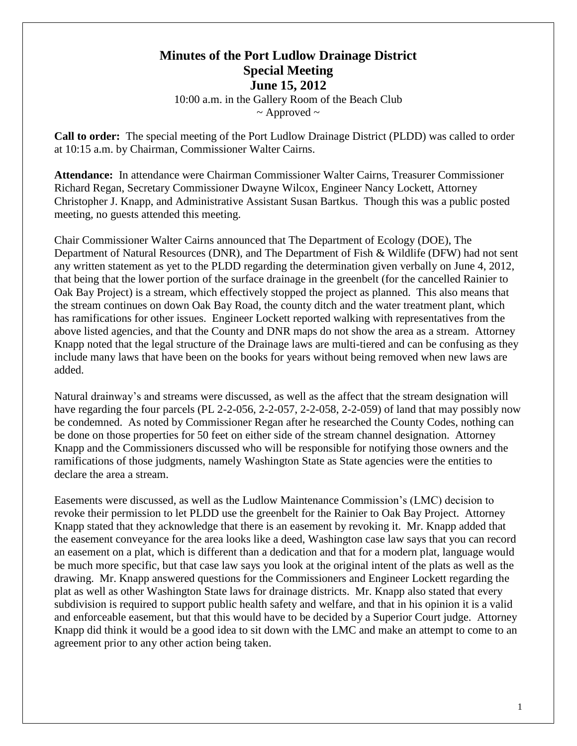## **Minutes of the Port Ludlow Drainage District Special Meeting June 15, 2012**

10:00 a.m. in the Gallery Room of the Beach Club  $\sim$  Approved  $\sim$ 

**Call to order:** The special meeting of the Port Ludlow Drainage District (PLDD) was called to order at 10:15 a.m. by Chairman, Commissioner Walter Cairns.

**Attendance:** In attendance were Chairman Commissioner Walter Cairns, Treasurer Commissioner Richard Regan, Secretary Commissioner Dwayne Wilcox, Engineer Nancy Lockett, Attorney Christopher J. Knapp, and Administrative Assistant Susan Bartkus. Though this was a public posted meeting, no guests attended this meeting.

Chair Commissioner Walter Cairns announced that The Department of Ecology (DOE), The Department of Natural Resources (DNR), and The Department of Fish & Wildlife (DFW) had not sent any written statement as yet to the PLDD regarding the determination given verbally on June 4, 2012, that being that the lower portion of the surface drainage in the greenbelt (for the cancelled Rainier to Oak Bay Project) is a stream, which effectively stopped the project as planned. This also means that the stream continues on down Oak Bay Road, the county ditch and the water treatment plant, which has ramifications for other issues. Engineer Lockett reported walking with representatives from the above listed agencies, and that the County and DNR maps do not show the area as a stream. Attorney Knapp noted that the legal structure of the Drainage laws are multi-tiered and can be confusing as they include many laws that have been on the books for years without being removed when new laws are added.

Natural drainway's and streams were discussed, as well as the affect that the stream designation will have regarding the four parcels (PL 2-2-056, 2-2-057, 2-2-058, 2-2-059) of land that may possibly now be condemned. As noted by Commissioner Regan after he researched the County Codes, nothing can be done on those properties for 50 feet on either side of the stream channel designation. Attorney Knapp and the Commissioners discussed who will be responsible for notifying those owners and the ramifications of those judgments, namely Washington State as State agencies were the entities to declare the area a stream.

Easements were discussed, as well as the Ludlow Maintenance Commission's (LMC) decision to revoke their permission to let PLDD use the greenbelt for the Rainier to Oak Bay Project. Attorney Knapp stated that they acknowledge that there is an easement by revoking it. Mr. Knapp added that the easement conveyance for the area looks like a deed, Washington case law says that you can record an easement on a plat, which is different than a dedication and that for a modern plat, language would be much more specific, but that case law says you look at the original intent of the plats as well as the drawing. Mr. Knapp answered questions for the Commissioners and Engineer Lockett regarding the plat as well as other Washington State laws for drainage districts. Mr. Knapp also stated that every subdivision is required to support public health safety and welfare, and that in his opinion it is a valid and enforceable easement, but that this would have to be decided by a Superior Court judge. Attorney Knapp did think it would be a good idea to sit down with the LMC and make an attempt to come to an agreement prior to any other action being taken.